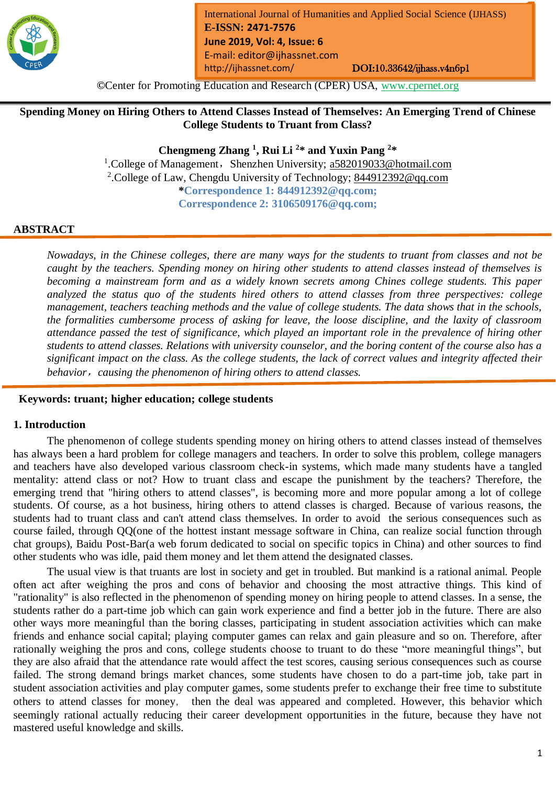

**©**Center for Promoting Education and Research (CPER) USA, [www.cpernet.org](http://www.cpernet.org/)

**Spending Money on Hiring Others to Attend Classes Instead of Themselves: An Emerging Trend of Chinese College Students to Truant from Class?**

**Chengmeng Zhang <sup>1</sup> , Rui Li <sup>2</sup> \* and Yuxin Pang <sup>2</sup> \***

<sup>1</sup>.College of Management, Shenzhen University; [a582019033@hotmail.com](mailto:a582019033@hotmail.com) <sup>2</sup>.College of Law, Chengdu University of Technology; [844912392@qq.com](mailto:844912392@qq.com) **\*Correspondence 1: 844912392@qq.com; Correspondence 2: 3106509176@qq.com;** 

#### **ABSTRACT**

*Nowadays, in the Chinese colleges, there are many ways for the students to truant from classes and not be caught by the teachers. Spending money on hiring other students to attend classes instead of themselves is becoming a mainstream form and as a widely known secrets among Chines college students. This paper analyzed the status quo of the students hired others to attend classes from three perspectives: college management, teachers teaching methods and the value of college students. The data shows that in the schools, the formalities cumbersome process of asking for leave, the loose discipline, and the laxity of classroom attendance passed the test of significance, which played an important role in the prevalence of hiring other students to attend classes. Relations with university counselor, and the boring content of the course also has a significant impact on the class. As the college students, the lack of correct values and integrity affected their behavior*,*causing the phenomenon of hiring others to attend classes.*

### **Keywords: truant; higher education; college students**

#### **1. Introduction**

The phenomenon of college students spending money on hiring others to attend classes instead of themselves has always been a hard problem for college managers and teachers. In order to solve this problem, college managers and teachers have also developed various classroom check-in systems, which made many students have a tangled mentality: attend class or not? How to truant class and escape the punishment by the teachers? Therefore, the emerging trend that "hiring others to attend classes", is becoming more and more popular among a lot of college students. Of course, as a hot business, hiring others to attend classes is charged. Because of various reasons, the students had to truant class and can't attend class themselves. In order to avoid the serious consequences such as course failed, through QQ(one of the hottest instant message software in China, can realize social function through chat groups), Baidu Post-Bar(a web forum dedicated to social on specific topics in China) and other sources to find other students who was idle, paid them money and let them attend the designated classes.

The usual view is that truants are lost in society and get in troubled. But mankind is a rational animal. People often act after weighing the pros and cons of behavior and choosing the most attractive things. This kind of "rationality" is also reflected in the phenomenon of spending money on hiring people to attend classes. In a sense, the students rather do a part-time job which can gain work experience and find a better job in the future. There are also other ways more meaningful than the boring classes, participating in student association activities which can make friends and enhance social capital; playing computer games can relax and gain pleasure and so on. Therefore, after rationally weighing the pros and cons, college students choose to truant to do these "more meaningful things", but they are also afraid that the attendance rate would affect the test scores, causing serious consequences such as course failed. The strong demand brings market chances, some students have chosen to do a part-time job, take part in student association activities and play computer games, some students prefer to exchange their free time to substitute others to attend classes for money, then the deal was appeared and completed. However, this behavior which seemingly rational actually reducing their career development opportunities in the future, because they have not mastered useful knowledge and skills.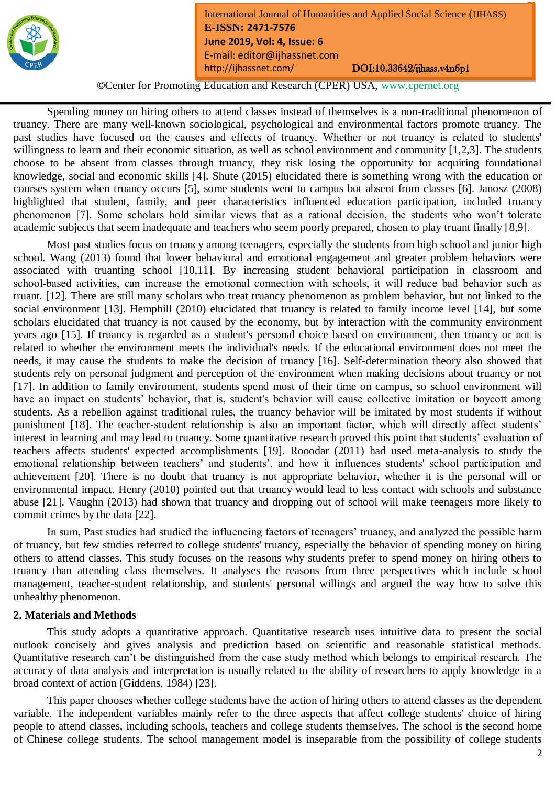

**©**Center for Promoting Education and Research (CPER) USA, [www.cpernet.org](http://www.cpernet.org/)

Spending money on hiring others to attend classes instead of themselves is a non-traditional phenomenon of truancy. There are many well-known sociological, psychological and environmental factors promote truancy. The past studies have focused on the causes and effects of truancy. Whether or not truancy is related to students' willingness to learn and their economic situation, as well as school environment and community [1,2,3]. The students choose to be absent from classes through truancy, they risk losing the opportunity for acquiring foundational knowledge, social and economic skills [4]. Shute (2015) elucidated there is something wrong with the education or courses system when truancy occurs [5], some students went to campus but absent from classes [6]. Janosz (2008) highlighted that student, family, and peer characteristics influenced education participation, included truancy phenomenon [7]. Some scholars hold similar views that as a rational decision, the students who won't tolerate academic subjects that seem inadequate and teachers who seem poorly prepared, chosen to play truant finally [8,9].

Most past studies focus on truancy among teenagers, especially the students from high school and junior high school. Wang (2013) found that lower behavioral and emotional engagement and greater problem behaviors were associated with truanting school [10,11]. By increasing student behavioral participation in classroom and school-based activities, can increase the emotional connection with schools, it will reduce bad behavior such as truant. [12]. There are still many scholars who treat truancy phenomenon as problem behavior, but not linked to the social environment [13]. Hemphill (2010) elucidated that truancy is related to family income level [14], but some scholars elucidated that truancy is not caused by the economy, but by interaction with the community environment years ago [15]. If truancy is regarded as a student's personal choice based on environment, then truancy or not is related to whether the environment meets the individual's needs. If the educational environment does not meet the needs, it may cause the students to make the decision of truancy [16]. Self-determination theory also showed that students rely on personal judgment and perception of the environment when making decisions about truancy or not [17]. In addition to family environment, students spend most of their time on campus, so school environment will have an impact on students' behavior, that is, student's behavior will cause collective imitation or boycott among students. As a rebellion against traditional rules, the truancy behavior will be imitated by most students if without punishment [18]. The teacher-student relationship is also an important factor, which will directly affect students' interest in learning and may lead to truancy. Some quantitative research proved this point that students' evaluation of teachers affects students' expected accomplishments [19]. Rooodar (2011) had used meta-analysis to study the emotional relationship between teachers' and students', and how it influences students' school participation and achievement [20]. There is no doubt that truancy is not appropriate behavior, whether it is the personal will or environmental impact. Henry (2010) pointed out that truancy would lead to less contact with schools and substance abuse [21]. Vaughn (2013) had shown that truancy and dropping out of school will make teenagers more likely to commit crimes by the data [22].

In sum, Past studies had studied the influencing factors of teenagers' truancy, and analyzed the possible harm of truancy, but few studies referred to college students' truancy, especially the behavior of spending money on hiring others to attend classes. This study focuses on the reasons why students prefer to spend money on hiring others to truancy than attending class themselves. It analyses the reasons from three perspectives which include school management, teacher-student relationship, and students' personal willings and argued the way how to solve this unhealthy phenomenon.

### **2. Materials and Methods**

This study adopts a quantitative approach. Quantitative research uses intuitive data to present the social outlook concisely and gives analysis and prediction based on scientific and reasonable statistical methods. Quantitative research can't be distinguished from the case study method which belongs to empirical research. The accuracy of data analysis and interpretation is usually related to the ability of researchers to apply knowledge in a broad context of action (Giddens, 1984) [23].

This paper chooses whether college students have the action of hiring others to attend classes as the dependent variable. The independent variables mainly refer to the three aspects that affect college students' choice of hiring people to attend classes, including schools, teachers and college students themselves. The school is the second home of Chinese college students. The school management model is inseparable from the possibility of college students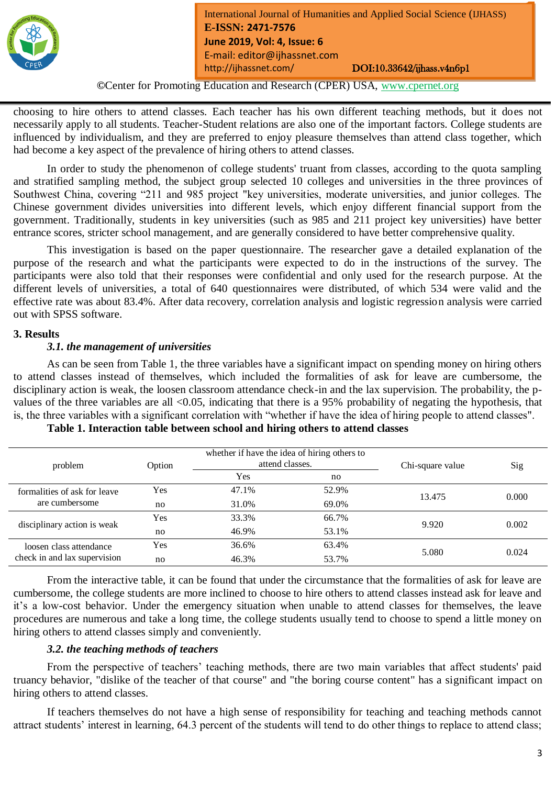

**©**Center for Promoting Education and Research (CPER) USA, [www.cpernet.org](http://www.cpernet.org/)

choosing to hire others to attend classes. Each teacher has his own different teaching methods, but it does not necessarily apply to all students. Teacher-Student relations are also one of the important factors. College students are influenced by individualism, and they are preferred to enjoy pleasure themselves than attend class together, which had become a key aspect of the prevalence of hiring others to attend classes.

In order to study the phenomenon of college students' truant from classes, according to the quota sampling and stratified sampling method, the subject group selected 10 colleges and universities in the three provinces of Southwest China, covering "211 and 985 project "key universities, moderate universities, and junior colleges. The Chinese government divides universities into different levels, which enjoy different financial support from the government. Traditionally, students in key universities (such as 985 and 211 project key universities) have better entrance scores, stricter school management, and are generally considered to have better comprehensive quality.

This investigation is based on the paper questionnaire. The researcher gave a detailed explanation of the purpose of the research and what the participants were expected to do in the instructions of the survey. The participants were also told that their responses were confidential and only used for the research purpose. At the different levels of universities, a total of 640 questionnaires were distributed, of which 534 were valid and the effective rate was about 83.4%. After data recovery, correlation analysis and logistic regression analysis were carried out with SPSS software.

### **3. Results**

### *3.1. the management of universities*

As can be seen from Table 1, the three variables have a significant impact on spending money on hiring others to attend classes instead of themselves, which included the formalities of ask for leave are cumbersome, the disciplinary action is weak, the loosen classroom attendance check-in and the lax supervision. The probability, the pvalues of the three variables are all <0.05, indicating that there is a 95% probability of negating the hypothesis, that is, the three variables with a significant correlation with "whether if have the idea of hiring people to attend classes".

| problem                                                 | Option | whether if have the idea of hiring others to<br>attend classes. |       | Chi-square value | Sig   |
|---------------------------------------------------------|--------|-----------------------------------------------------------------|-------|------------------|-------|
|                                                         |        | Yes                                                             | no    |                  |       |
| formalities of ask for leave<br>are cumbersome          | Yes    | 47.1%                                                           | 52.9% | 13.475           | 0.000 |
|                                                         | no     | 31.0%                                                           | 69.0% |                  |       |
| disciplinary action is weak                             | Yes    | 33.3%                                                           | 66.7% | 9.920            | 0.002 |
|                                                         | no     | 46.9%                                                           | 53.1% |                  |       |
| loosen class attendance<br>check in and lax supervision | Yes    | 36.6%                                                           | 63.4% |                  |       |
|                                                         | no     | 46.3%                                                           | 53.7% | 5.080            | 0.024 |

**Table 1. Interaction table between school and hiring others to attend classes**

From the interactive table, it can be found that under the circumstance that the formalities of ask for leave are cumbersome, the college students are more inclined to choose to hire others to attend classes instead ask for leave and it's a low-cost behavior. Under the emergency situation when unable to attend classes for themselves, the leave procedures are numerous and take a long time, the college students usually tend to choose to spend a little money on hiring others to attend classes simply and conveniently.

### *3.2. the teaching methods of teachers*

From the perspective of teachers' teaching methods, there are two main variables that affect students' paid truancy behavior, "dislike of the teacher of that course" and "the boring course content" has a significant impact on hiring others to attend classes.

If teachers themselves do not have a high sense of responsibility for teaching and teaching methods cannot attract students' interest in learning, 64.3 percent of the students will tend to do other things to replace to attend class;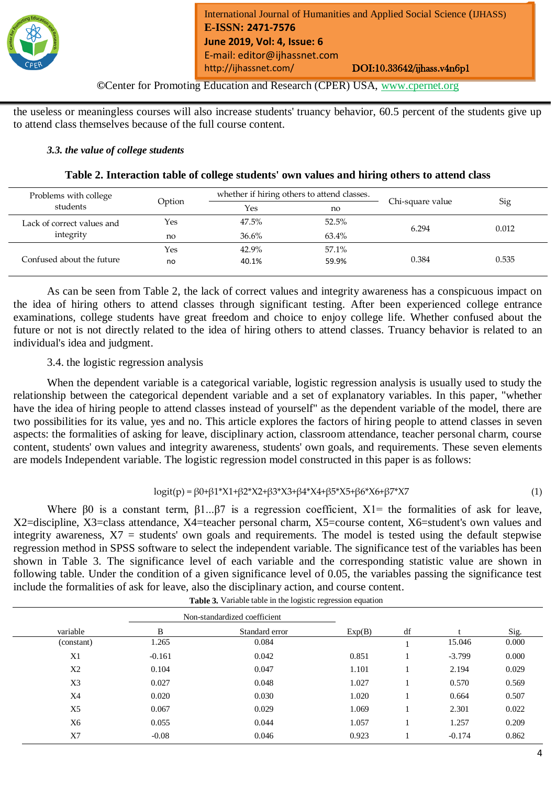

**©**Center for Promoting Education and Research (CPER) USA, [www.cpernet.org](http://www.cpernet.org/)

the useless or meaningless courses will also increase students' truancy behavior, 60.5 percent of the students give up to attend class themselves because of the full course content.

### *3.3. the value of college students*

|  | Table 2. Interaction table of college students' own values and hiring others to attend class |
|--|----------------------------------------------------------------------------------------------|
|--|----------------------------------------------------------------------------------------------|

| Problems with college                   | Option | whether if hiring others to attend classes. |       |                  |       |
|-----------------------------------------|--------|---------------------------------------------|-------|------------------|-------|
| students                                |        | <b>Yes</b>                                  | no    | Chi-square value | Sig   |
| Lack of correct values and<br>integrity | Yes    | 47.5%                                       | 52.5% | 6.294            | 0.012 |
|                                         | no     | 36.6%                                       | 63.4% |                  |       |
| Confused about the future               | Yes    | 42.9%                                       | 57.1% |                  |       |
|                                         | no     | 40.1%                                       | 59.9% | 0.384            | 0.535 |

As can be seen from Table 2, the lack of correct values and integrity awareness has a conspicuous impact on the idea of hiring others to attend classes through significant testing. After been experienced college entrance examinations, college students have great freedom and choice to enjoy college life. Whether confused about the future or not is not directly related to the idea of hiring others to attend classes. Truancy behavior is related to an individual's idea and judgment.

# 3.4. the logistic regression analysis

When the dependent variable is a categorical variable, logistic regression analysis is usually used to study the relationship between the categorical dependent variable and a set of explanatory variables. In this paper, "whether have the idea of hiring people to attend classes instead of yourself" as the dependent variable of the model, there are two possibilities for its value, yes and no. This article explores the factors of hiring people to attend classes in seven aspects: the formalities of asking for leave, disciplinary action, classroom attendance, teacher personal charm, course content, students' own values and integrity awareness, students' own goals, and requirements. These seven elements are models Independent variable. The logistic regression model constructed in this paper is as follows:

## logit(p) = β0+β1\*X1+β2\*X2+β3\*X3+β4\*X4+β5\*X5+β6\*X6+β7\*X7 (1)

Where  $\beta$ 0 is a constant term,  $\beta$ 1... $\beta$ 7 is a regression coefficient, X1= the formalities of ask for leave, X2=discipline, X3=class attendance, X4=teacher personal charm, X5=course content, X6=student's own values and integrity awareness, X7 = students' own goals and requirements. The model is tested using the default stepwise regression method in SPSS software to select the independent variable. The significance test of the variables has been shown in Table 3. The significance level of each variable and the corresponding statistic value are shown in following table. Under the condition of a given significance level of 0.05, the variables passing the significance test include the formalities of ask for leave, also the disciplinary action, and course content.

|                | Non-standardized coefficient |                |        |    |          |       |
|----------------|------------------------------|----------------|--------|----|----------|-------|
| variable       | B                            | Standard error | Exp(B) | df |          | Sig.  |
| (constant)     | 1.265                        | 0.084          |        |    | 15.046   | 0.000 |
| X1             | $-0.161$                     | 0.042          | 0.851  |    | $-3.799$ | 0.000 |
| X2             | 0.104                        | 0.047          | 1.101  |    | 2.194    | 0.029 |
| X <sub>3</sub> | 0.027                        | 0.048          | 1.027  |    | 0.570    | 0.569 |
| X4             | 0.020                        | 0.030          | 1.020  |    | 0.664    | 0.507 |
| X <sub>5</sub> | 0.067                        | 0.029          | 1.069  |    | 2.301    | 0.022 |
| X6             | 0.055                        | 0.044          | 1.057  |    | 1.257    | 0.209 |
| X7             | $-0.08$                      | 0.046          | 0.923  |    | $-0.174$ | 0.862 |

**Table 3.** Variable table in the logistic regression equation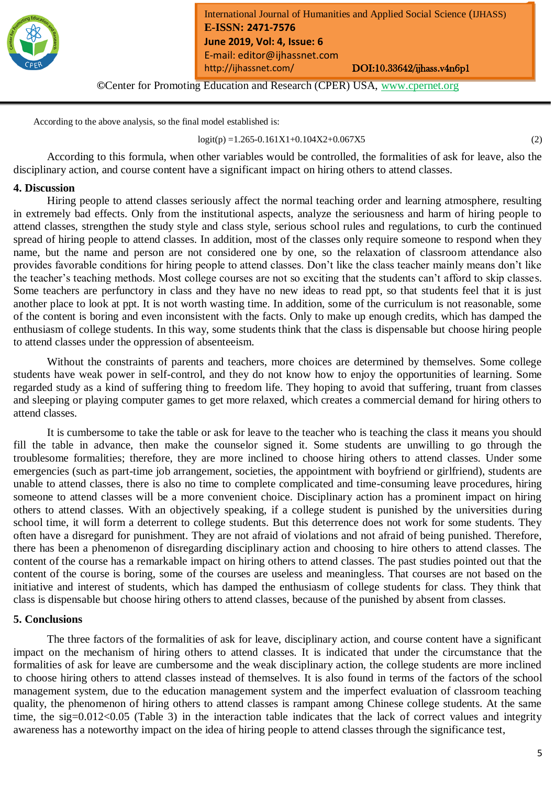

**©**Center for Promoting Education and Research (CPER) USA, [www.cpernet.org](http://www.cpernet.org/)

According to the above analysis, so the final model established is:

 $logit(p) = 1.265 - 0.161X1 + 0.104X2 + 0.067X5$  (2)

According to this formula, when other variables would be controlled, the formalities of ask for leave, also the disciplinary action, and course content have a significant impact on hiring others to attend classes.

### **4. Discussion**

Hiring people to attend classes seriously affect the normal teaching order and learning atmosphere, resulting in extremely bad effects. Only from the institutional aspects, analyze the seriousness and harm of hiring people to attend classes, strengthen the study style and class style, serious school rules and regulations, to curb the continued spread of hiring people to attend classes. In addition, most of the classes only require someone to respond when they name, but the name and person are not considered one by one, so the relaxation of classroom attendance also provides favorable conditions for hiring people to attend classes. Don't like the class teacher mainly means don't like the teacher's teaching methods. Most college courses are not so exciting that the students can't afford to skip classes. Some teachers are perfunctory in class and they have no new ideas to read ppt, so that students feel that it is just another place to look at ppt. It is not worth wasting time. In addition, some of the curriculum is not reasonable, some of the content is boring and even inconsistent with the facts. Only to make up enough credits, which has damped the enthusiasm of college students. In this way, some students think that the class is dispensable but choose hiring people to attend classes under the oppression of absenteeism.

Without the constraints of parents and teachers, more choices are determined by themselves. Some college students have weak power in self-control, and they do not know how to enjoy the opportunities of learning. Some regarded study as a kind of suffering thing to freedom life. They hoping to avoid that suffering, truant from classes and sleeping or playing computer games to get more relaxed, which creates a commercial demand for hiring others to attend classes.

It is cumbersome to take the table or ask for leave to the teacher who is teaching the class it means you should fill the table in advance, then make the counselor signed it. Some students are unwilling to go through the troublesome formalities; therefore, they are more inclined to choose hiring others to attend classes. Under some emergencies (such as part-time job arrangement, societies, the appointment with boyfriend or girlfriend), students are unable to attend classes, there is also no time to complete complicated and time-consuming leave procedures, hiring someone to attend classes will be a more convenient choice. Disciplinary action has a prominent impact on hiring others to attend classes. With an objectively speaking, if a college student is punished by the universities during school time, it will form a deterrent to college students. But this deterrence does not work for some students. They often have a disregard for punishment. They are not afraid of violations and not afraid of being punished. Therefore, there has been a phenomenon of disregarding disciplinary action and choosing to hire others to attend classes. The content of the course has a remarkable impact on hiring others to attend classes. The past studies pointed out that the content of the course is boring, some of the courses are useless and meaningless. That courses are not based on the initiative and interest of students, which has damped the enthusiasm of college students for class. They think that class is dispensable but choose hiring others to attend classes, because of the punished by absent from classes.

### **5. Conclusions**

The three factors of the formalities of ask for leave, disciplinary action, and course content have a significant impact on the mechanism of hiring others to attend classes. It is indicated that under the circumstance that the formalities of ask for leave are cumbersome and the weak disciplinary action, the college students are more inclined to choose hiring others to attend classes instead of themselves. It is also found in terms of the factors of the school management system, due to the education management system and the imperfect evaluation of classroom teaching quality, the phenomenon of hiring others to attend classes is rampant among Chinese college students. At the same time, the sig=0.012<0.05 (Table 3) in the interaction table indicates that the lack of correct values and integrity awareness has a noteworthy impact on the idea of hiring people to attend classes through the significance test,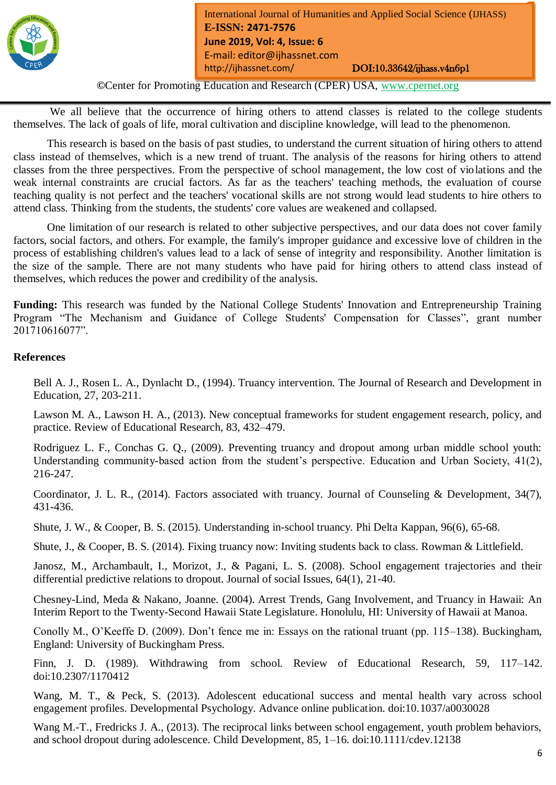

**©**Center for Promoting Education and Research (CPER) USA, [www.cpernet.org](http://www.cpernet.org/)

We all believe that the occurrence of hiring others to attend classes is related to the college students themselves. The lack of goals of life, moral cultivation and discipline knowledge, will lead to the phenomenon.

This research is based on the basis of past studies, to understand the current situation of hiring others to attend class instead of themselves, which is a new trend of truant. The analysis of the reasons for hiring others to attend classes from the three perspectives. From the perspective of school management, the low cost of violations and the weak internal constraints are crucial factors. As far as the teachers' teaching methods, the evaluation of course teaching quality is not perfect and the teachers' vocational skills are not strong would lead students to hire others to attend class. Thinking from the students, the students' core values are weakened and collapsed.

One limitation of our research is related to other subjective perspectives, and our data does not cover family factors, social factors, and others. For example, the family's improper guidance and excessive love of children in the process of establishing children's values lead to a lack of sense of integrity and responsibility. Another limitation is the size of the sample. There are not many students who have paid for hiring others to attend class instead of themselves, which reduces the power and credibility of the analysis.

**Funding:** This research was funded by the National College Students' Innovation and Entrepreneurship Training Program "The Mechanism and Guidance of College Students' Compensation for Classes", grant number 201710616077".

### **References**

Bell A. J., Rosen L. A., Dynlacht D., (1994). Truancy intervention. The Journal of Research and Development in Education, 27, 203-211.

Lawson M. A., Lawson H. A., (2013). New conceptual frameworks for student engagement research, policy, and practice. Review of Educational Research, 83, 432–479.

Rodriguez L. F., Conchas G. Q., (2009). Preventing truancy and dropout among urban middle school youth: Understanding community-based action from the student's perspective. Education and Urban Society, 41(2), 216-247.

Coordinator, J. L. R., (2014). Factors associated with truancy. Journal of Counseling & Development, 34(7), 431-436.

Shute, J. W., & Cooper, B. S. (2015). Understanding in-school truancy. Phi Delta Kappan, 96(6), 65-68.

Shute, J., & Cooper, B. S. (2014). Fixing truancy now: Inviting students back to class. Rowman & Littlefield.

Janosz, M., Archambault, I., Morizot, J., & Pagani, L. S. (2008). School engagement trajectories and their differential predictive relations to dropout. Journal of social Issues, 64(1), 21-40.

Chesney-Lind, Meda & Nakano, Joanne. (2004). Arrest Trends, Gang Involvement, and Truancy in Hawaii: An Interim Report to the Twenty-Second Hawaii State Legislature. Honolulu, HI: University of Hawaii at Manoa.

Conolly M., O'Keeffe D. (2009). Don't fence me in: Essays on the rational truant (pp. 115–138). Buckingham, England: University of Buckingham Press.

Finn, J. D. (1989). Withdrawing from school. Review of Educational Research, 59, 117–142. doi:10.2307/1170412

Wang, M. T., & Peck, S. (2013). Adolescent educational success and mental health vary across school engagement profiles. Developmental Psychology. Advance online publication. doi:10.1037/a0030028

Wang M.-T., Fredricks J. A., (2013). The reciprocal links between school engagement, youth problem behaviors, and school dropout during adolescence. Child Development, 85, 1–16. doi:10.1111/cdev.12138